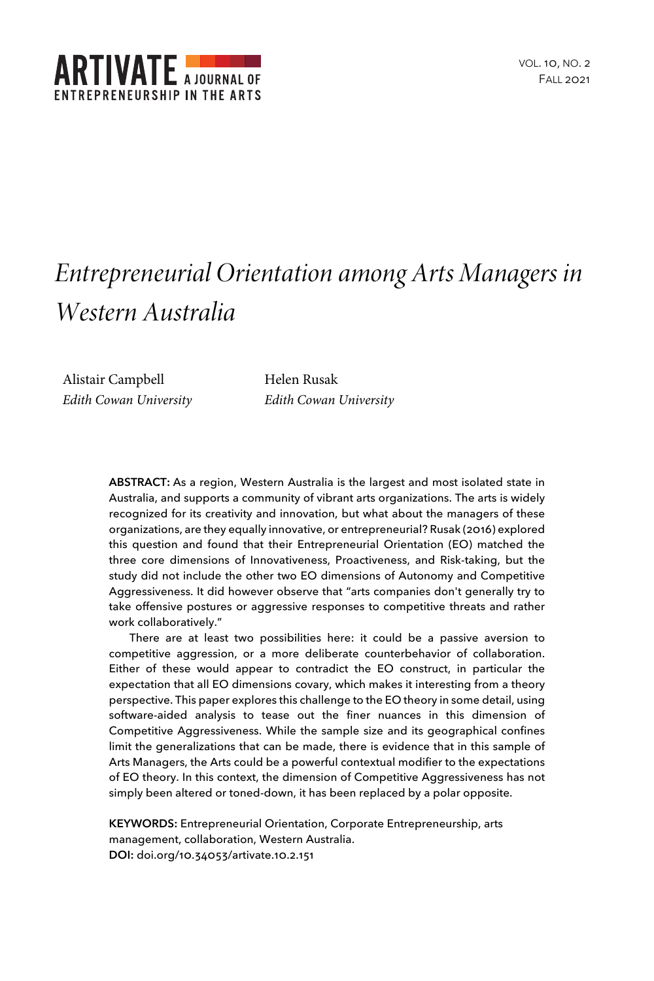

# *Entrepreneurial Orientation among Arts Managers in Western Australia*

Alistair Campbell *Edith Cowan University* Helen Rusak *Edith Cowan University*

**ABSTRACT:** As a region, Western Australia is the largest and most isolated state in Australia, and supports a community of vibrant arts organizations. The arts is widely recognized for its creativity and innovation, but what about the managers of these organizations, are they equally innovative, or entrepreneurial? Rusak (2016) explored this question and found that their Entrepreneurial Orientation (EO) matched the three core dimensions of Innovativeness, Proactiveness, and Risk-taking, but the study did not include the other two EO dimensions of Autonomy and Competitive Aggressiveness. It did however observe that "arts companies don't generally try to take offensive postures or aggressive responses to competitive threats and rather work collaboratively."

There are at least two possibilities here: it could be a passive aversion to competitive aggression, or a more deliberate counterbehavior of collaboration. Either of these would appear to contradict the EO construct, in particular the expectation that all EO dimensions covary, which makes it interesting from a theory perspective. This paper explores this challenge to the EO theory in some detail, using software-aided analysis to tease out the finer nuances in this dimension of Competitive Aggressiveness. While the sample size and its geographical confines limit the generalizations that can be made, there is evidence that in this sample of Arts Managers, the Arts could be a powerful contextual modifier to the expectations of EO theory. In this context, the dimension of Competitive Aggressiveness has not simply been altered or toned-down, it has been replaced by a polar opposite.

**KEYWORDS:** Entrepreneurial Orientation, Corporate Entrepreneurship, arts management, collaboration, Western Australia. **DOI:** doi.org/10.34053/artivate.10.2.151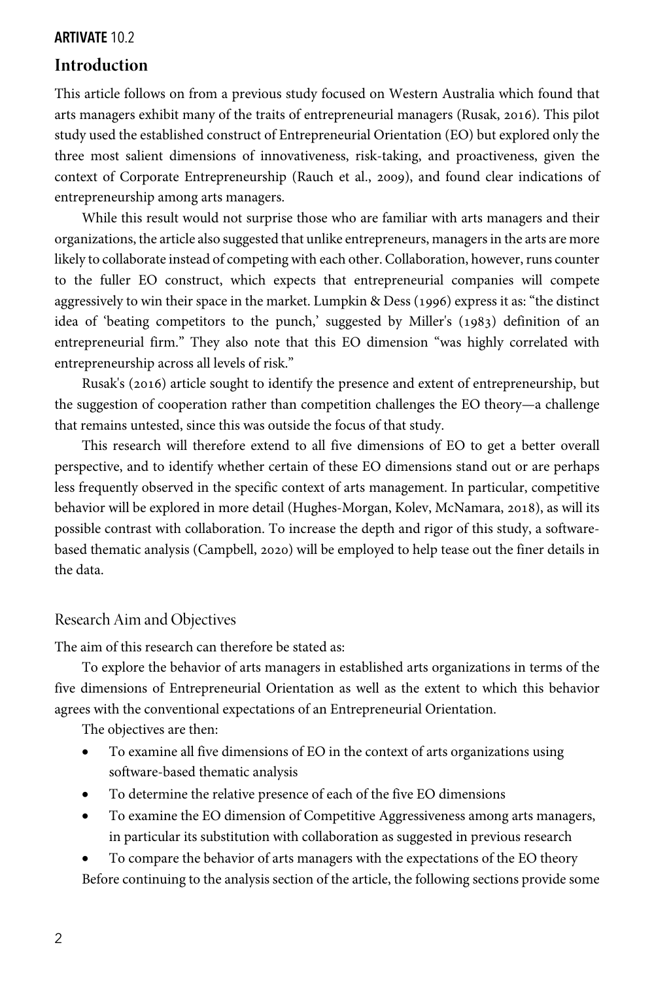# **Introduction**

This article follows on from a previous study focused on Western Australia which found that arts managers exhibit many of the traits of entrepreneurial managers (Rusak, 2016). This pilot study used the established construct of Entrepreneurial Orientation (EO) but explored only the three most salient dimensions of innovativeness, risk-taking, and proactiveness, given the context of Corporate Entrepreneurship (Rauch et al., 2009), and found clear indications of entrepreneurship among arts managers.

While this result would not surprise those who are familiar with arts managers and their organizations, the article also suggested that unlike entrepreneurs, managers in the arts are more likely to collaborate instead of competing with each other. Collaboration, however, runs counter to the fuller EO construct, which expects that entrepreneurial companies will compete aggressively to win their space in the market. Lumpkin & Dess (1996) express it as: "the distinct idea of 'beating competitors to the punch,' suggested by Miller's (1983) definition of an entrepreneurial firm." They also note that this EO dimension "was highly correlated with entrepreneurship across all levels of risk."

Rusak's (2016) article sought to identify the presence and extent of entrepreneurship, but the suggestion of cooperation rather than competition challenges the EO theory—a challenge that remains untested, since this was outside the focus of that study.

This research will therefore extend to all five dimensions of EO to get a better overall perspective, and to identify whether certain of these EO dimensions stand out or are perhaps less frequently observed in the specific context of arts management. In particular, competitive behavior will be explored in more detail (Hughes-Morgan, Kolev, McNamara, 2018), as will its possible contrast with collaboration. To increase the depth and rigor of this study, a softwarebased thematic analysis (Campbell, 2020) will be employed to help tease out the finer details in the data.

# Research Aim and Objectives

The aim of this research can therefore be stated as:

To explore the behavior of arts managers in established arts organizations in terms of the five dimensions of Entrepreneurial Orientation as well as the extent to which this behavior agrees with the conventional expectations of an Entrepreneurial Orientation.

The objectives are then:

- To examine all five dimensions of EO in the context of arts organizations using software-based thematic analysis
- To determine the relative presence of each of the five EO dimensions
- To examine the EO dimension of Competitive Aggressiveness among arts managers, in particular its substitution with collaboration as suggested in previous research

• To compare the behavior of arts managers with the expectations of the EO theory Before continuing to the analysis section of the article, the following sections provide some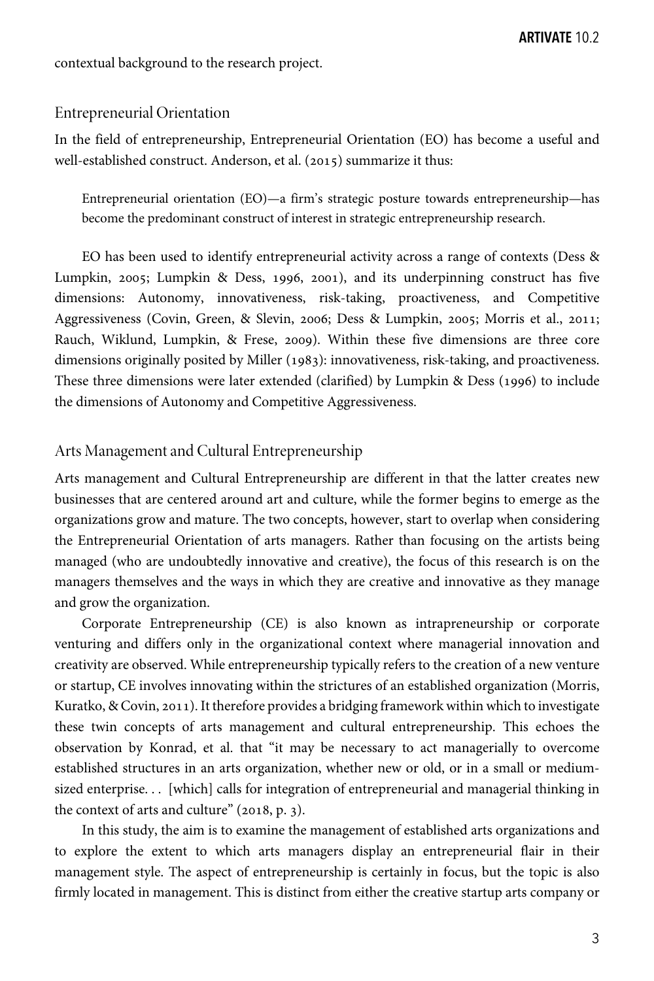contextual background to the research project.

#### Entrepreneurial Orientation

In the field of entrepreneurship, Entrepreneurial Orientation (EO) has become a useful and well-established construct. Anderson, et al. (2015) summarize it thus:

Entrepreneurial orientation (EO)—a firm's strategic posture towards entrepreneurship—has become the predominant construct of interest in strategic entrepreneurship research.

EO has been used to identify entrepreneurial activity across a range of contexts (Dess & Lumpkin,  $2005$ ; Lumpkin & Dess, 1996, 2001), and its underpinning construct has five dimensions: Autonomy, innovativeness, risk-taking, proactiveness, and Competitive Aggressiveness (Covin, Green, & Slevin, 2006; Dess & Lumpkin, 2005; Morris et al., 2011; Rauch, Wiklund, Lumpkin, & Frese, 2009). Within these five dimensions are three core dimensions originally posited by Miller (1983): innovativeness, risk-taking, and proactiveness. These three dimensions were later extended (clarified) by Lumpkin & Dess (1996) to include the dimensions of Autonomy and Competitive Aggressiveness.

#### Arts Management and Cultural Entrepreneurship

Arts management and Cultural Entrepreneurship are different in that the latter creates new businesses that are centered around art and culture, while the former begins to emerge as the organizations grow and mature. The two concepts, however, start to overlap when considering the Entrepreneurial Orientation of arts managers. Rather than focusing on the artists being managed (who are undoubtedly innovative and creative), the focus of this research is on the managers themselves and the ways in which they are creative and innovative as they manage and grow the organization.

Corporate Entrepreneurship (CE) is also known as intrapreneurship or corporate venturing and differs only in the organizational context where managerial innovation and creativity are observed. While entrepreneurship typically refers to the creation of a new venture or startup, CE involves innovating within the strictures of an established organization (Morris, Kuratko, & Covin, 2011). It therefore provides a bridging framework within which to investigate these twin concepts of arts management and cultural entrepreneurship. This echoes the observation by Konrad, et al. that "it may be necessary to act managerially to overcome established structures in an arts organization, whether new or old, or in a small or mediumsized enterprise. . . [which] calls for integration of entrepreneurial and managerial thinking in the context of arts and culture"  $(2018, p. 3)$ .

In this study, the aim is to examine the management of established arts organizations and to explore the extent to which arts managers display an entrepreneurial flair in their management style. The aspect of entrepreneurship is certainly in focus, but the topic is also firmly located in management. This is distinct from either the creative startup arts company or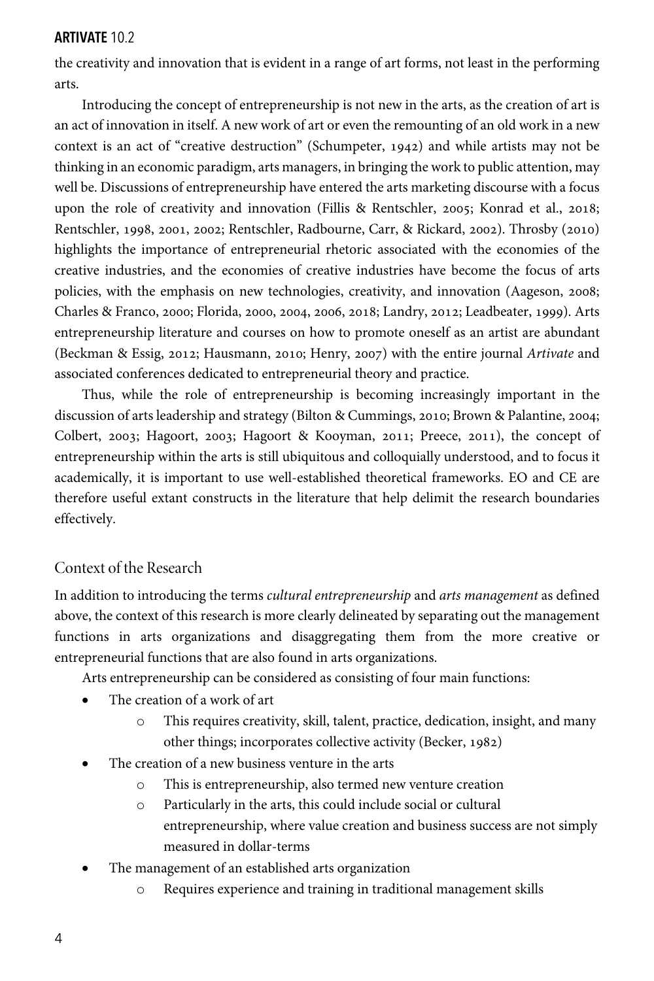the creativity and innovation that is evident in a range of art forms, not least in the performing arts.

Introducing the concept of entrepreneurship is not new in the arts, as the creation of art is an act of innovation in itself. A new work of art or even the remounting of an old work in a new context is an act of "creative destruction" (Schumpeter,  $1942$ ) and while artists may not be thinking in an economic paradigm, arts managers, in bringing the work to public attention, may well be. Discussions of entrepreneurship have entered the arts marketing discourse with a focus upon the role of creativity and innovation (Fillis & Rentschler, 2005; Konrad et al., 2018; Rentschler, 1998, 2001, 2002; Rentschler, Radbourne, Carr, & Rickard, 2002). Throsby (2010) highlights the importance of entrepreneurial rhetoric associated with the economies of the creative industries, and the economies of creative industries have become the focus of arts policies, with the emphasis on new technologies, creativity, and innovation (Aageson, 2008; Charles & Franco, 2000; Florida, 2000, 2004, 2006, 2018; Landry, 2012; Leadbeater, 1999). Arts entrepreneurship literature and courses on how to promote oneself as an artist are abundant (Beckman & Essig, 2012; Hausmann, 2010; Henry, 2007) with the entire journal *Artivate* and associated conferences dedicated to entrepreneurial theory and practice.

Thus, while the role of entrepreneurship is becoming increasingly important in the discussion of arts leadership and strategy (Bilton & Cummings, 2010; Brown & Palantine, 2004; Colbert, 2003; Hagoort, 2003; Hagoort & Kooyman, 2011; Preece, 2011), the concept of entrepreneurship within the arts is still ubiquitous and colloquially understood, and to focus it academically, it is important to use well-established theoretical frameworks. EO and CE are therefore useful extant constructs in the literature that help delimit the research boundaries effectively.

# Context of the Research

In addition to introducing the terms *cultural entrepreneurship* and *arts management* as defined above, the context of this research is more clearly delineated by separating out the management functions in arts organizations and disaggregating them from the more creative or entrepreneurial functions that are also found in arts organizations.

Arts entrepreneurship can be considered as consisting of four main functions:

- The creation of a work of art
	- o This requires creativity, skill, talent, practice, dedication, insight, and many other things; incorporates collective activity (Becker, 1982)
- The creation of a new business venture in the arts
	- o This is entrepreneurship, also termed new venture creation
	- o Particularly in the arts, this could include social or cultural entrepreneurship, where value creation and business success are not simply measured in dollar-terms
- The management of an established arts organization
	- o Requires experience and training in traditional management skills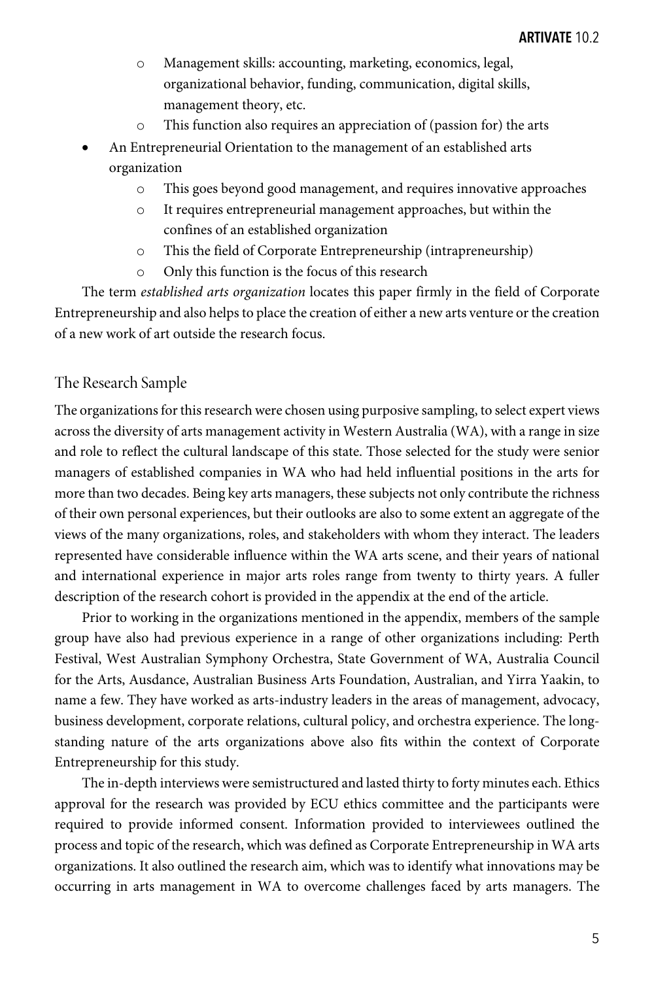- o Management skills: accounting, marketing, economics, legal, organizational behavior, funding, communication, digital skills, management theory, etc.
- o This function also requires an appreciation of (passion for) the arts
- An Entrepreneurial Orientation to the management of an established arts organization
	- o This goes beyond good management, and requires innovative approaches
	- o It requires entrepreneurial management approaches, but within the confines of an established organization
	- o This the field of Corporate Entrepreneurship (intrapreneurship)
	- o Only this function is the focus of this research

The term *established arts organization* locates this paper firmly in the field of Corporate Entrepreneurship and also helps to place the creation of either a new arts venture or the creation of a new work of art outside the research focus.

## The Research Sample

The organizations for this research were chosen using purposive sampling, to select expert views across the diversity of arts management activity in Western Australia (WA), with a range in size and role to reflect the cultural landscape of this state. Those selected for the study were senior managers of established companies in WA who had held influential positions in the arts for more than two decades. Being key arts managers, these subjects not only contribute the richness of their own personal experiences, but their outlooks are also to some extent an aggregate of the views of the many organizations, roles, and stakeholders with whom they interact. The leaders represented have considerable influence within the WA arts scene, and their years of national and international experience in major arts roles range from twenty to thirty years. A fuller description of the research cohort is provided in the appendix at the end of the article.

Prior to working in the organizations mentioned in the appendix, members of the sample group have also had previous experience in a range of other organizations including: Perth Festival, West Australian Symphony Orchestra, State Government of WA, Australia Council for the Arts, Ausdance, Australian Business Arts Foundation, Australian, and Yirra Yaakin, to name a few. They have worked as arts-industry leaders in the areas of management, advocacy, business development, corporate relations, cultural policy, and orchestra experience. The longstanding nature of the arts organizations above also fits within the context of Corporate Entrepreneurship for this study.

The in-depth interviews were semistructured and lasted thirty to forty minutes each. Ethics approval for the research was provided by ECU ethics committee and the participants were required to provide informed consent. Information provided to interviewees outlined the process and topic of the research, which was defined as Corporate Entrepreneurship in WA arts organizations. It also outlined the research aim, which was to identify what innovations may be occurring in arts management in WA to overcome challenges faced by arts managers. The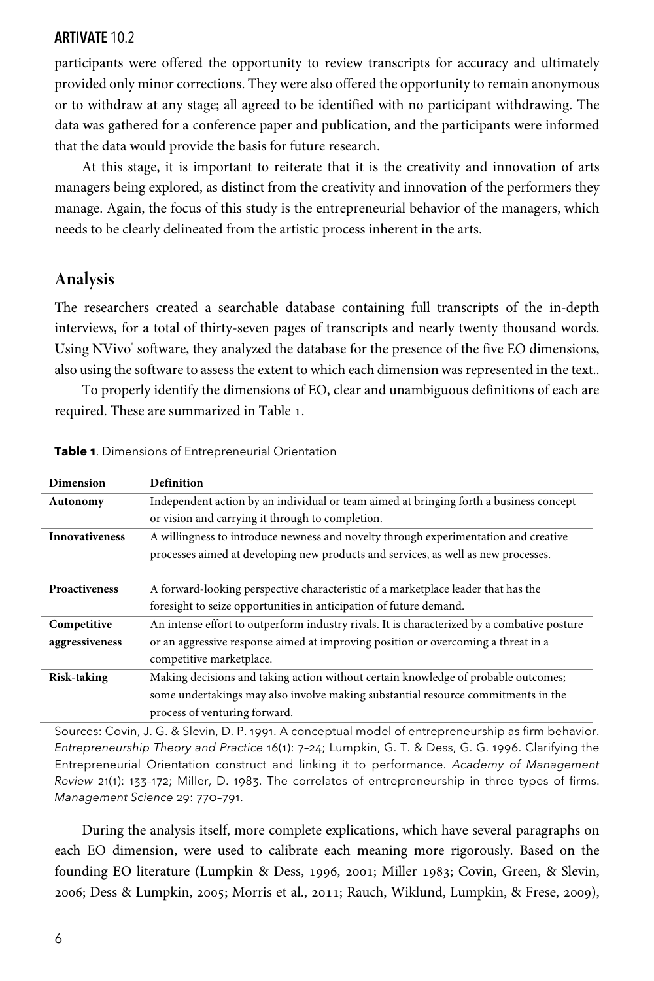participants were offered the opportunity to review transcripts for accuracy and ultimately provided only minor corrections. They were also offered the opportunity to remain anonymous or to withdraw at any stage; all agreed to be identified with no participant withdrawing. The data was gathered for a conference paper and publication, and the participants were informed that the data would provide the basis for future research.

At this stage, it is important to reiterate that it is the creativity and innovation of arts managers being explored, as distinct from the creativity and innovation of the performers they manage. Again, the focus of this study is the entrepreneurial behavior of the managers, which needs to be clearly delineated from the artistic process inherent in the arts.

# **Analysis**

The researchers created a searchable database containing full transcripts of the in-depth interviews, for a total of thirty-seven pages of transcripts and nearly twenty thousand words. Using NVivo' software, they analyzed the database for the presence of the five EO dimensions, also using the software to assess the extent to which each dimension was represented in the text..

To properly identify the dimensions of EO, clear and unambiguous definitions of each are required. These are summarized in Table 1.

| Dimension             | Definition                                                                                  |  |  |
|-----------------------|---------------------------------------------------------------------------------------------|--|--|
| Autonomy              | Independent action by an individual or team aimed at bringing forth a business concept      |  |  |
|                       | or vision and carrying it through to completion.                                            |  |  |
| <b>Innovativeness</b> | A willingness to introduce newness and novelty through experimentation and creative         |  |  |
|                       | processes aimed at developing new products and services, as well as new processes.          |  |  |
|                       |                                                                                             |  |  |
| <b>Proactiveness</b>  | A forward-looking perspective characteristic of a marketplace leader that has the           |  |  |
|                       | foresight to seize opportunities in anticipation of future demand.                          |  |  |
| Competitive           | An intense effort to outperform industry rivals. It is characterized by a combative posture |  |  |
| aggressiveness        | or an aggressive response aimed at improving position or overcoming a threat in a           |  |  |
|                       | competitive marketplace.                                                                    |  |  |
| <b>Risk-taking</b>    | Making decisions and taking action without certain knowledge of probable outcomes;          |  |  |
|                       | some undertakings may also involve making substantial resource commitments in the           |  |  |
|                       | process of venturing forward.                                                               |  |  |

**Table 1**. Dimensions of Entrepreneurial Orientation

Sources: Covin, J. G. & Slevin, D. P. 1991. A conceptual model of entrepreneurship as firm behavior. *Entrepreneurship Theory and Practice* 16(1): 7–24; Lumpkin, G. T. & Dess, G. G. 1996. Clarifying the Entrepreneurial Orientation construct and linking it to performance. *Academy of Management Review* 21(1): 133–172; Miller, D. 1983. The correlates of entrepreneurship in three types of firms. *Management Science* 29: 770–791.

During the analysis itself, more complete explications, which have several paragraphs on each EO dimension, were used to calibrate each meaning more rigorously. Based on the founding EO literature (Lumpkin & Dess, 1996, 2001; Miller 1983; Covin, Green, & Slevin, 2006; Dess & Lumpkin, 2005; Morris et al., 2011; Rauch, Wiklund, Lumpkin, & Frese, 2009),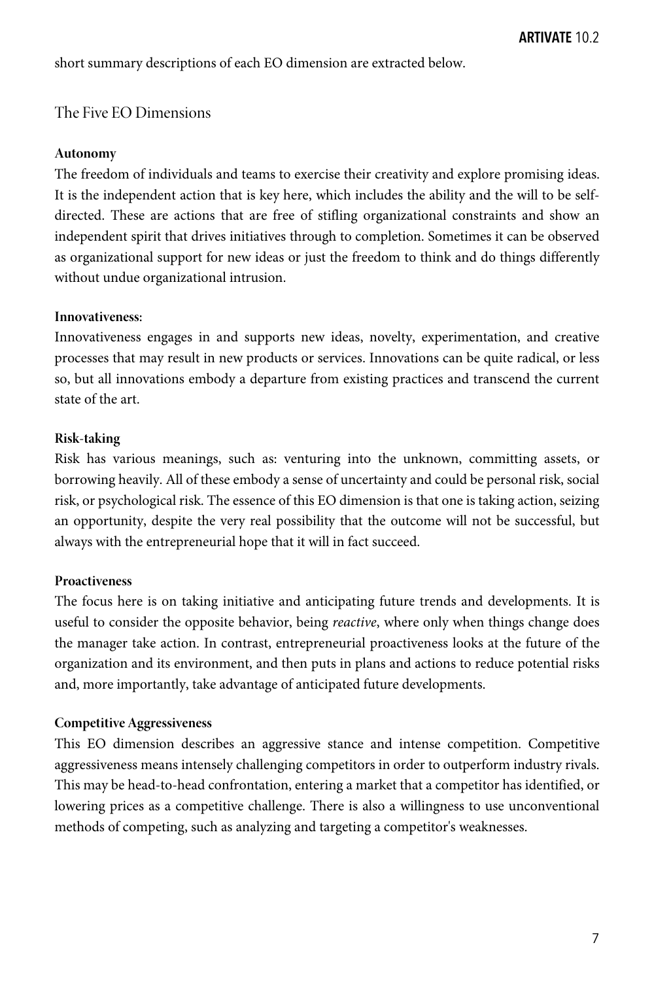short summary descriptions of each EO dimension are extracted below.

## The Five EO Dimensions

#### **Autonomy**

The freedom of individuals and teams to exercise their creativity and explore promising ideas. It is the independent action that is key here, which includes the ability and the will to be selfdirected. These are actions that are free of stifling organizational constraints and show an independent spirit that drives initiatives through to completion. Sometimes it can be observed as organizational support for new ideas or just the freedom to think and do things differently without undue organizational intrusion.

### **Innovativeness:**

Innovativeness engages in and supports new ideas, novelty, experimentation, and creative processes that may result in new products or services. Innovations can be quite radical, or less so, but all innovations embody a departure from existing practices and transcend the current state of the art.

## **Risk-taking**

Risk has various meanings, such as: venturing into the unknown, committing assets, or borrowing heavily. All of these embody a sense of uncertainty and could be personal risk, social risk, or psychological risk. The essence of this EO dimension is that one is taking action, seizing an opportunity, despite the very real possibility that the outcome will not be successful, but always with the entrepreneurial hope that it will in fact succeed.

## **Proactiveness**

The focus here is on taking initiative and anticipating future trends and developments. It is useful to consider the opposite behavior, being *reactive*, where only when things change does the manager take action. In contrast, entrepreneurial proactiveness looks at the future of the organization and its environment, and then puts in plans and actions to reduce potential risks and, more importantly, take advantage of anticipated future developments.

#### **Competitive Aggressiveness**

This EO dimension describes an aggressive stance and intense competition. Competitive aggressiveness means intensely challenging competitors in order to outperform industry rivals. This may be head-to-head confrontation, entering a market that a competitor has identified, or lowering prices as a competitive challenge. There is also a willingness to use unconventional methods of competing, such as analyzing and targeting a competitor's weaknesses.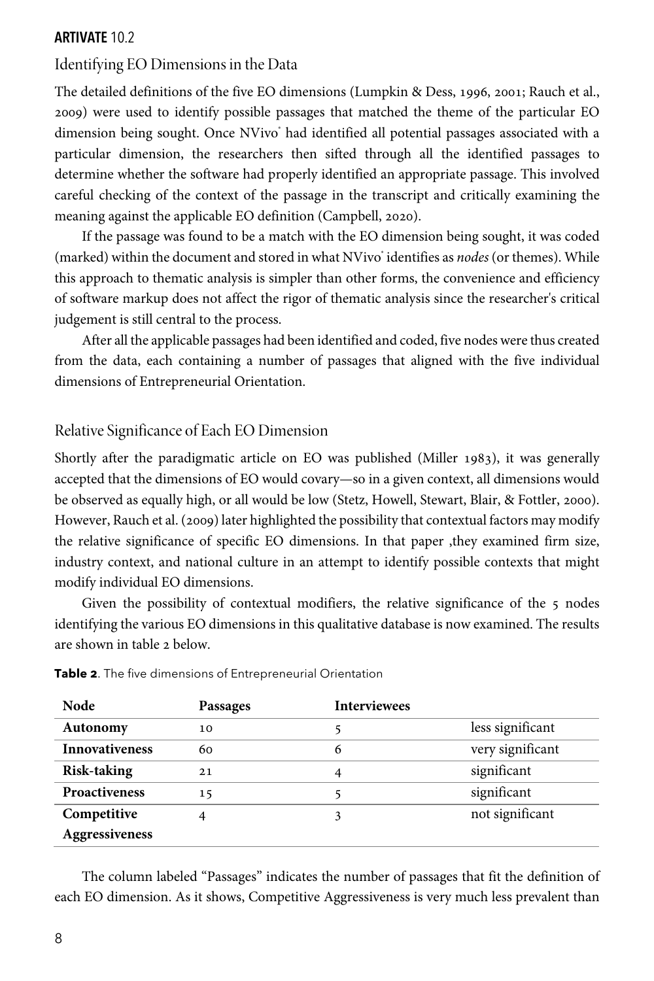# Identifying EO Dimensions in the Data

The detailed definitions of the five EO dimensions (Lumpkin & Dess, 1996, 2001; Rauch et al., ) were used to identify possible passages that matched the theme of the particular EO dimension being sought. Once NVivo had identified all potential passages associated with a particular dimension, the researchers then sifted through all the identified passages to determine whether the software had properly identified an appropriate passage. This involved careful checking of the context of the passage in the transcript and critically examining the meaning against the applicable EO definition (Campbell, 2020).

If the passage was found to be a match with the EO dimension being sought, it was coded (marked) within the document and stored in what NVivo® identifies as *nodes* (or themes). While this approach to thematic analysis is simpler than other forms, the convenience and efficiency of software markup does not affect the rigor of thematic analysis since the researcher's critical judgement is still central to the process.

After all the applicable passages had been identified and coded, five nodes were thus created from the data, each containing a number of passages that aligned with the five individual dimensions of Entrepreneurial Orientation.

# Relative Significance of Each EO Dimension

Shortly after the paradigmatic article on EO was published (Miller 1983), it was generally accepted that the dimensions of EO would covary—so in a given context, all dimensions would be observed as equally high, or all would be low (Stetz, Howell, Stewart, Blair, & Fottler, 2000). However, Rauch et al. (2009) later highlighted the possibility that contextual factors may modify the relative significance of specific EO dimensions. In that paper ,they examined firm size, industry context, and national culture in an attempt to identify possible contexts that might modify individual EO dimensions.

Given the possibility of contextual modifiers, the relative significance of the  $5$  nodes identifying the various EO dimensions in this qualitative database is now examined. The results are shown in table  $2$  below.

| Node                  | Passages | <b>Interviewees</b> |                  |
|-----------------------|----------|---------------------|------------------|
| Autonomy              | 10       |                     | less significant |
| <b>Innovativeness</b> | 60       | 6                   | very significant |
| <b>Risk-taking</b>    | 21       | 4                   | significant      |
| <b>Proactiveness</b>  | 15       |                     | significant      |
| Competitive           | 4        | 3                   | not significant  |
| Aggressiveness        |          |                     |                  |

**Table 2**. The five dimensions of Entrepreneurial Orientation

The column labeled "Passages" indicates the number of passages that fit the definition of each EO dimension. As it shows, Competitive Aggressiveness is very much less prevalent than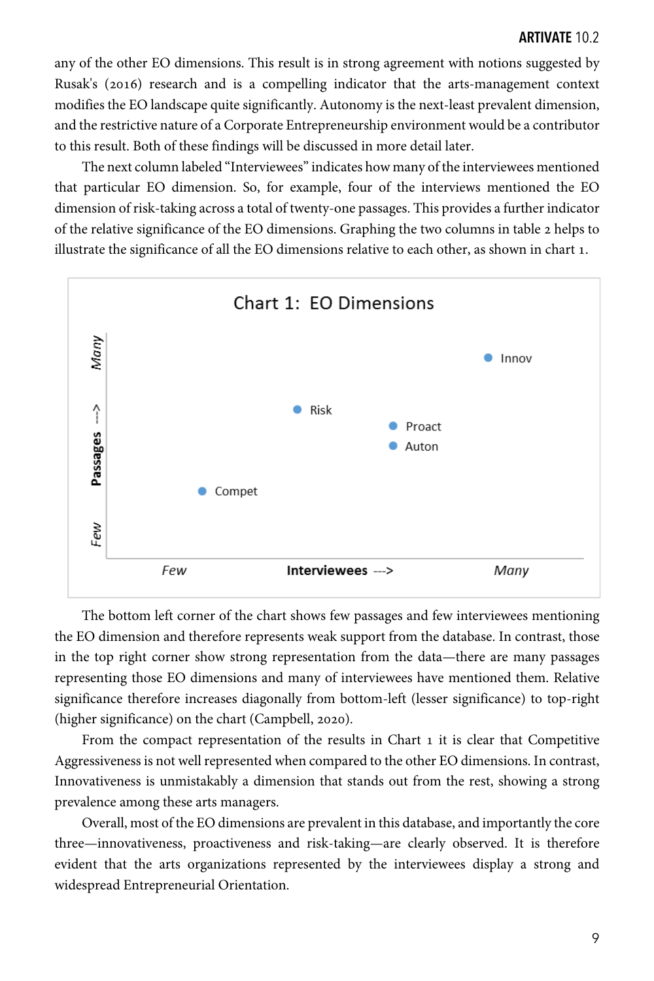any of the other EO dimensions. This result is in strong agreement with notions suggested by Rusak's (2016) research and is a compelling indicator that the arts-management context modifies the EO landscape quite significantly. Autonomy is the next-least prevalent dimension, and the restrictive nature of a Corporate Entrepreneurship environment would be a contributor to this result. Both of these findings will be discussed in more detail later.

The next column labeled "Interviewees" indicates how many of the interviewees mentioned that particular EO dimension. So, for example, four of the interviews mentioned the EO dimension of risk-taking across a total of twenty-one passages. This provides a further indicator of the relative significance of the EO dimensions. Graphing the two columns in table 2 helps to illustrate the significance of all the EO dimensions relative to each other, as shown in chart 1.



The bottom left corner of the chart shows few passages and few interviewees mentioning the EO dimension and therefore represents weak support from the database. In contrast, those in the top right corner show strong representation from the data—there are many passages representing those EO dimensions and many of interviewees have mentioned them. Relative significance therefore increases diagonally from bottom-left (lesser significance) to top-right (higher significance) on the chart (Campbell, 2020).

From the compact representation of the results in Chart 1 it is clear that Competitive Aggressiveness is not well represented when compared to the other EO dimensions. In contrast, Innovativeness is unmistakably a dimension that stands out from the rest, showing a strong prevalence among these arts managers.

Overall, most of the EO dimensions are prevalent in this database, and importantly the core three—innovativeness, proactiveness and risk-taking—are clearly observed. It is therefore evident that the arts organizations represented by the interviewees display a strong and widespread Entrepreneurial Orientation.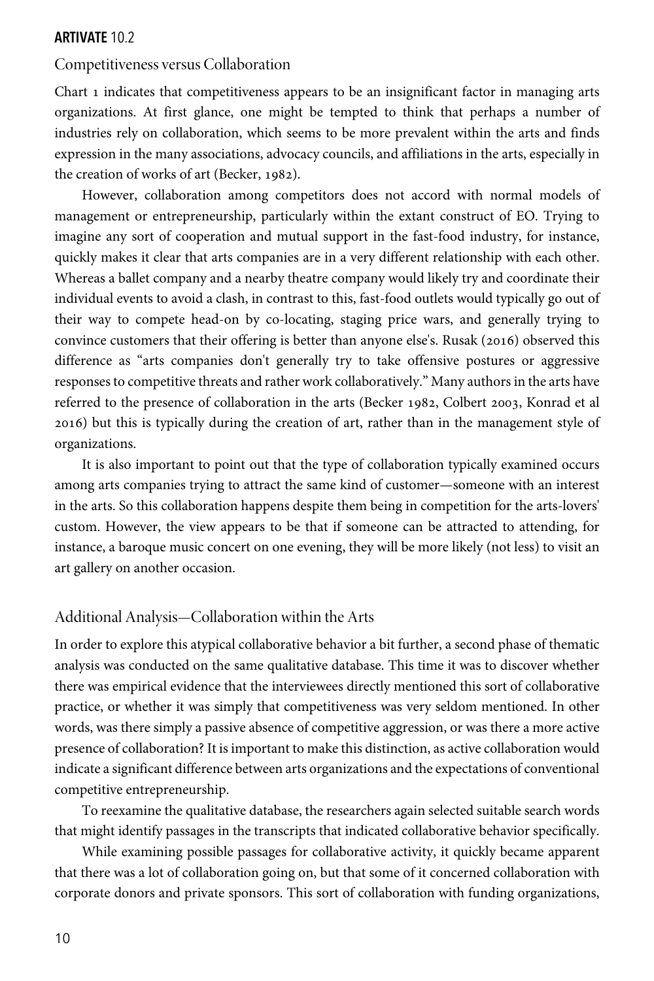## Competitiveness versus Collaboration

Chart 1 indicates that competitiveness appears to be an insignificant factor in managing arts organizations. At first glance, one might be tempted to think that perhaps a number of industries rely on collaboration, which seems to be more prevalent within the arts and finds expression in the many associations, advocacy councils, and affiliations in the arts, especially in the creation of works of art (Becker,  $1982$ ).

However, collaboration among competitors does not accord with normal models of management or entrepreneurship, particularly within the extant construct of EO. Trying to imagine any sort of cooperation and mutual support in the fast-food industry, for instance, quickly makes it clear that arts companies are in a very different relationship with each other. Whereas a ballet company and a nearby theatre company would likely try and coordinate their individual events to avoid a clash, in contrast to this, fast-food outlets would typically go out of their way to compete head-on by co-locating, staging price wars, and generally trying to convince customers that their offering is better than anyone else's. Rusak (2016) observed this difference as "arts companies don't generally try to take offensive postures or aggressive responses to competitive threats and rather work collaboratively." Many authors in the arts have referred to the presence of collaboration in the arts (Becker 1982, Colbert 2003, Konrad et al ) but this is typically during the creation of art, rather than in the management style of organizations.

It is also important to point out that the type of collaboration typically examined occurs among arts companies trying to attract the same kind of customer—someone with an interest in the arts. So this collaboration happens despite them being in competition for the arts-lovers' custom. However, the view appears to be that if someone can be attracted to attending, for instance, a baroque music concert on one evening, they will be more likely (not less) to visit an art gallery on another occasion.

# Additional Analysis—Collaboration within the Arts

In order to explore this atypical collaborative behavior a bit further, a second phase of thematic analysis was conducted on the same qualitative database. This time it was to discover whether there was empirical evidence that the interviewees directly mentioned this sort of collaborative practice, or whether it was simply that competitiveness was very seldom mentioned. In other words, was there simply a passive absence of competitive aggression, or was there a more active presence of collaboration? It is important to make this distinction, as active collaboration would indicate a significant difference between arts organizations and the expectations of conventional competitive entrepreneurship.

To reexamine the qualitative database, the researchers again selected suitable search words that might identify passages in the transcripts that indicated collaborative behavior specifically.

While examining possible passages for collaborative activity, it quickly became apparent that there was a lot of collaboration going on, but that some of it concerned collaboration with corporate donors and private sponsors. This sort of collaboration with funding organizations,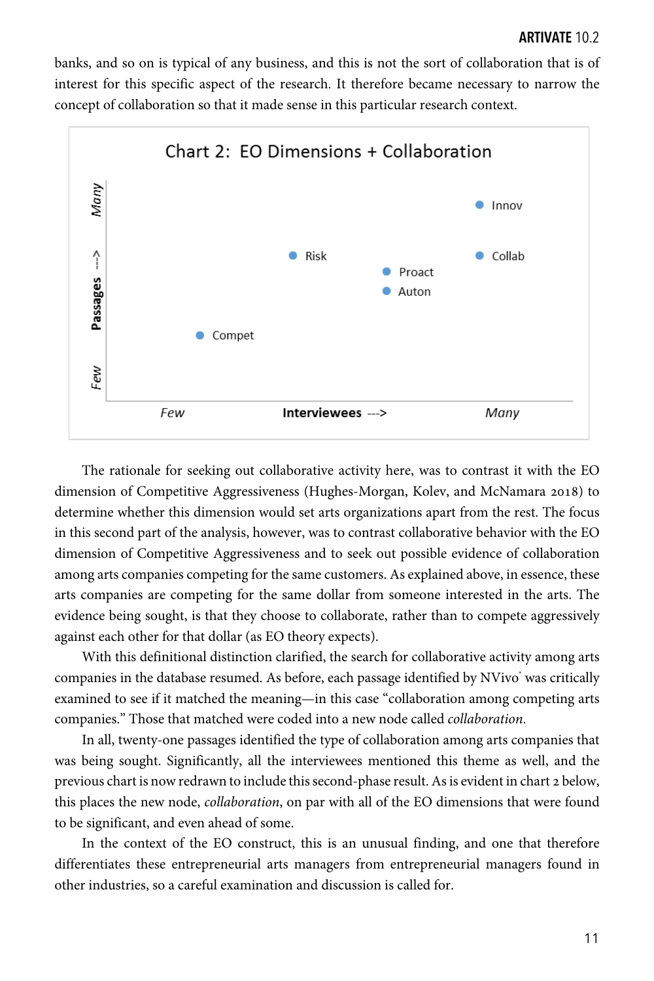banks, and so on is typical of any business, and this is not the sort of collaboration that is of interest for this specific aspect of the research. It therefore became necessary to narrow the concept of collaboration so that it made sense in this particular research context.



The rationale for seeking out collaborative activity here, was to contrast it with the EO dimension of Competitive Aggressiveness (Hughes-Morgan, Kolev, and McNamara 2018) to determine whether this dimension would set arts organizations apart from the rest. The focus in this second part of the analysis, however, was to contrast collaborative behavior with the EO dimension of Competitive Aggressiveness and to seek out possible evidence of collaboration among arts companies competing for the same customers. As explained above, in essence, these arts companies are competing for the same dollar from someone interested in the arts. The evidence being sought, is that they choose to collaborate, rather than to compete aggressively against each other for that dollar (as EO theory expects).

With this definitional distinction clarified, the search for collaborative activity among arts companies in the database resumed. As before, each passage identified by NVivo was critically examined to see if it matched the meaning—in this case "collaboration among competing arts companies." Those that matched were coded into a new node called *collaboration*.

In all, twenty-one passages identified the type of collaboration among arts companies that was being sought. Significantly, all the interviewees mentioned this theme as well, and the previous chart is now redrawn to include this second-phase result. As is evident in chart 2 below, this places the new node, *collaboration*, on par with all of the EO dimensions that were found to be significant, and even ahead of some.

In the context of the EO construct, this is an unusual finding, and one that therefore differentiates these entrepreneurial arts managers from entrepreneurial managers found in other industries, so a careful examination and discussion is called for.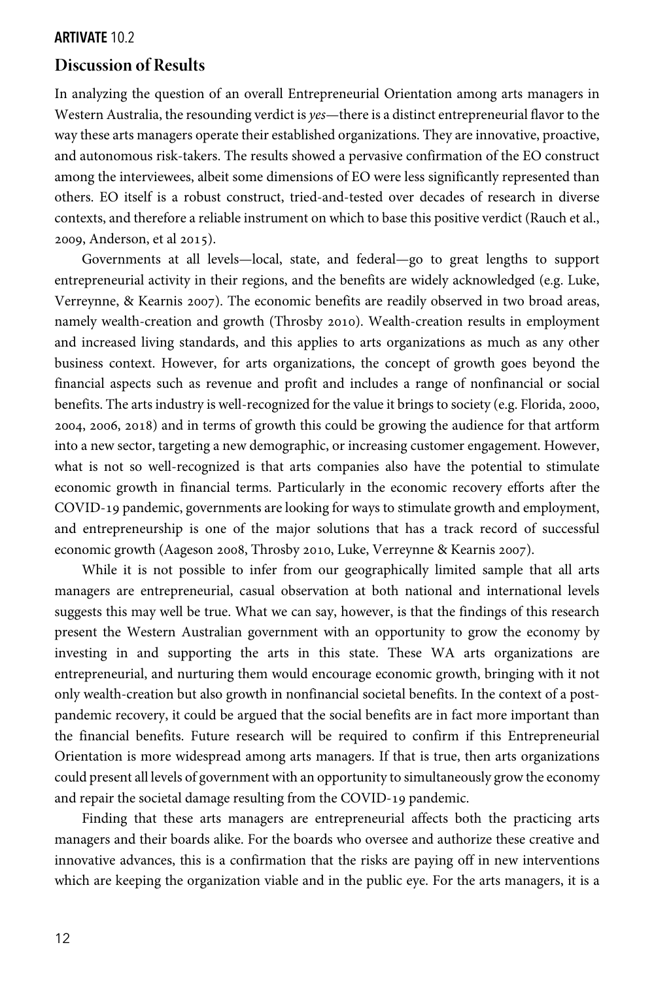# **Discussion of Results**

In analyzing the question of an overall Entrepreneurial Orientation among arts managers in Western Australia, the resounding verdict is *yes*—there is a distinct entrepreneurial flavorto the way these arts managers operate their established organizations. They are innovative, proactive, and autonomous risk-takers. The results showed a pervasive confirmation of the EO construct among the interviewees, albeit some dimensions of EO were less significantly represented than others. EO itself is a robust construct, tried-and-tested over decades of research in diverse contexts, and therefore a reliable instrument on which to base this positive verdict (Rauch et al., 2009, Anderson, et al 2015).

Governments at all levels—local, state, and federal—go to great lengths to support entrepreneurial activity in their regions, and the benefits are widely acknowledged (e.g. Luke, Verreynne, & Kearnis 2007). The economic benefits are readily observed in two broad areas, namely wealth-creation and growth (Throsby 2010). Wealth-creation results in employment and increased living standards, and this applies to arts organizations as much as any other business context. However, for arts organizations, the concept of growth goes beyond the financial aspects such as revenue and profit and includes a range of nonfinancial or social benefits. The arts industry is well-recognized for the value it brings to society (e.g. Florida, 2000, 2004, 2006, 2018) and in terms of growth this could be growing the audience for that artform into a new sector, targeting a new demographic, or increasing customer engagement. However, what is not so well-recognized is that arts companies also have the potential to stimulate economic growth in financial terms. Particularly in the economic recovery efforts after the COVID-19 pandemic, governments are looking for ways to stimulate growth and employment, and entrepreneurship is one of the major solutions that has a track record of successful economic growth (Aageson 2008, Throsby 2010, Luke, Verreynne & Kearnis 2007).

While it is not possible to infer from our geographically limited sample that all arts managers are entrepreneurial, casual observation at both national and international levels suggests this may well be true. What we can say, however, is that the findings of this research present the Western Australian government with an opportunity to grow the economy by investing in and supporting the arts in this state. These WA arts organizations are entrepreneurial, and nurturing them would encourage economic growth, bringing with it not only wealth-creation but also growth in nonfinancial societal benefits. In the context of a postpandemic recovery, it could be argued that the social benefits are in fact more important than the financial benefits. Future research will be required to confirm if this Entrepreneurial Orientation is more widespread among arts managers. If that is true, then arts organizations could present all levels of government with an opportunity to simultaneously grow the economy and repair the societal damage resulting from the COVID-19 pandemic.

Finding that these arts managers are entrepreneurial affects both the practicing arts managers and their boards alike. For the boards who oversee and authorize these creative and innovative advances, this is a confirmation that the risks are paying off in new interventions which are keeping the organization viable and in the public eye. For the arts managers, it is a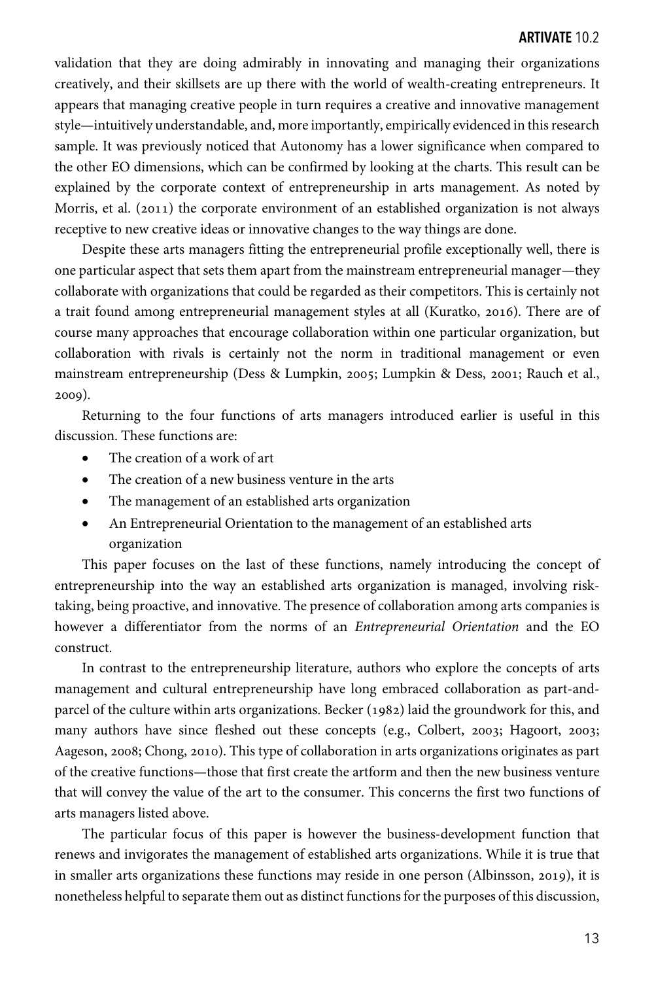validation that they are doing admirably in innovating and managing their organizations creatively, and their skillsets are up there with the world of wealth-creating entrepreneurs. It appears that managing creative people in turn requires a creative and innovative management style—intuitively understandable, and, more importantly, empirically evidenced in this research sample. It was previously noticed that Autonomy has a lower significance when compared to the other EO dimensions, which can be confirmed by looking at the charts. This result can be explained by the corporate context of entrepreneurship in arts management. As noted by Morris, et al. (2011) the corporate environment of an established organization is not always receptive to new creative ideas or innovative changes to the way things are done.

Despite these arts managers fitting the entrepreneurial profile exceptionally well, there is one particular aspect that sets them apart from the mainstream entrepreneurial manager—they collaborate with organizations that could be regarded as their competitors. This is certainly not a trait found among entrepreneurial management styles at all (Kuratko, 2016). There are of course many approaches that encourage collaboration within one particular organization, but collaboration with rivals is certainly not the norm in traditional management or even mainstream entrepreneurship (Dess & Lumpkin, 2005; Lumpkin & Dess, 2001; Rauch et al.,  $2009$ ).

Returning to the four functions of arts managers introduced earlier is useful in this discussion. These functions are:

- The creation of a work of art
- The creation of a new business venture in the arts
- The management of an established arts organization
- An Entrepreneurial Orientation to the management of an established arts organization

This paper focuses on the last of these functions, namely introducing the concept of entrepreneurship into the way an established arts organization is managed, involving risktaking, being proactive, and innovative. The presence of collaboration among arts companies is however a differentiator from the norms of an *Entrepreneurial Orientation* and the EO construct.

In contrast to the entrepreneurship literature, authors who explore the concepts of arts management and cultural entrepreneurship have long embraced collaboration as part-andparcel of the culture within arts organizations. Becker  $(1982)$  laid the groundwork for this, and many authors have since fleshed out these concepts (e.g., Colbert, 2003; Hagoort, 2003; Aageson, 2008; Chong, 2010). This type of collaboration in arts organizations originates as part of the creative functions—those that first create the artform and then the new business venture that will convey the value of the art to the consumer. This concerns the first two functions of arts managers listed above.

The particular focus of this paper is however the business-development function that renews and invigorates the management of established arts organizations. While it is true that in smaller arts organizations these functions may reside in one person (Albinsson, 2019), it is nonetheless helpful to separate them out as distinct functions for the purposes of this discussion,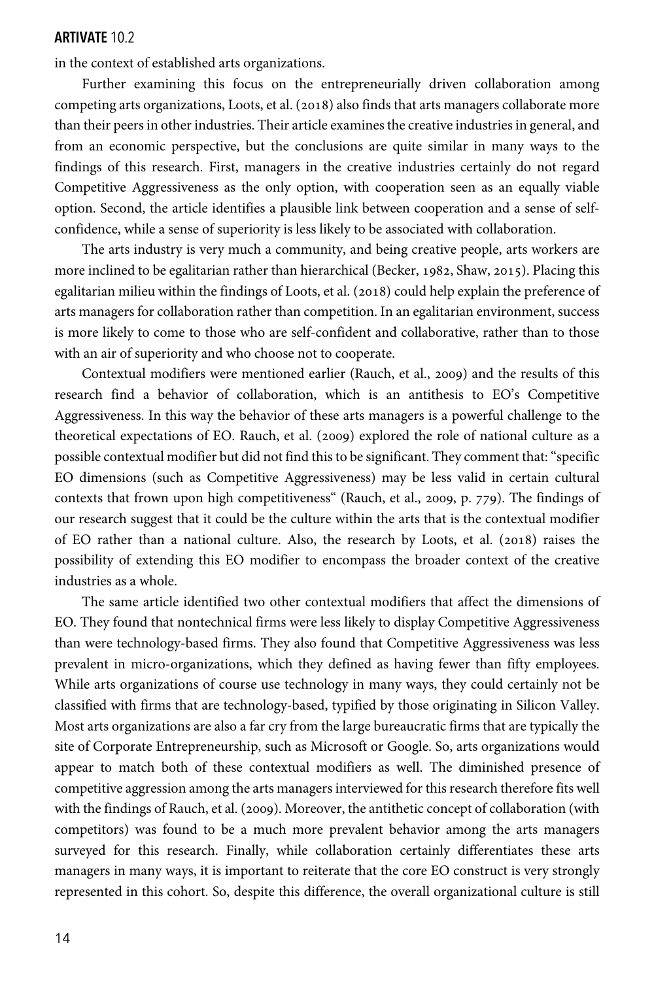in the context of established arts organizations.

Further examining this focus on the entrepreneurially driven collaboration among competing arts organizations, Loots, et al.  $(2018)$  also finds that arts managers collaborate more than their peers in other industries. Their article examines the creative industries in general, and from an economic perspective, but the conclusions are quite similar in many ways to the findings of this research. First, managers in the creative industries certainly do not regard Competitive Aggressiveness as the only option, with cooperation seen as an equally viable option. Second, the article identifies a plausible link between cooperation and a sense of selfconfidence, while a sense of superiority is less likely to be associated with collaboration.

The arts industry is very much a community, and being creative people, arts workers are more inclined to be egalitarian rather than hierarchical (Becker, 1982, Shaw, 2015). Placing this egalitarian milieu within the findings of Loots, et al. (2018) could help explain the preference of arts managers for collaboration rather than competition. In an egalitarian environment, success is more likely to come to those who are self-confident and collaborative, rather than to those with an air of superiority and who choose not to cooperate.

Contextual modifiers were mentioned earlier (Rauch, et al., 2009) and the results of this research find a behavior of collaboration, which is an antithesis to EO's Competitive Aggressiveness. In this way the behavior of these arts managers is a powerful challenge to the theoretical expectations of EO. Rauch, et al. (2009) explored the role of national culture as a possible contextual modifier but did not find this to be significant. They comment that: "specific EO dimensions (such as Competitive Aggressiveness) may be less valid in certain cultural contexts that frown upon high competitiveness" (Rauch, et al., 2009, p.  $779$ ). The findings of our research suggest that it could be the culture within the arts that is the contextual modifier of EO rather than a national culture. Also, the research by Loots, et al.  $(2018)$  raises the possibility of extending this EO modifier to encompass the broader context of the creative industries as a whole.

The same article identified two other contextual modifiers that affect the dimensions of EO. They found that nontechnical firms were less likely to display Competitive Aggressiveness than were technology-based firms. They also found that Competitive Aggressiveness was less prevalent in micro-organizations, which they defined as having fewer than fifty employees. While arts organizations of course use technology in many ways, they could certainly not be classified with firms that are technology-based, typified by those originating in Silicon Valley. Most arts organizations are also a far cry from the large bureaucratic firms that are typically the site of Corporate Entrepreneurship, such as Microsoft or Google. So, arts organizations would appear to match both of these contextual modifiers as well. The diminished presence of competitive aggression among the arts managers interviewed for this research therefore fits well with the findings of Rauch, et al. (2009). Moreover, the antithetic concept of collaboration (with competitors) was found to be a much more prevalent behavior among the arts managers surveyed for this research. Finally, while collaboration certainly differentiates these arts managers in many ways, it is important to reiterate that the core EO construct is very strongly represented in this cohort. So, despite this difference, the overall organizational culture is still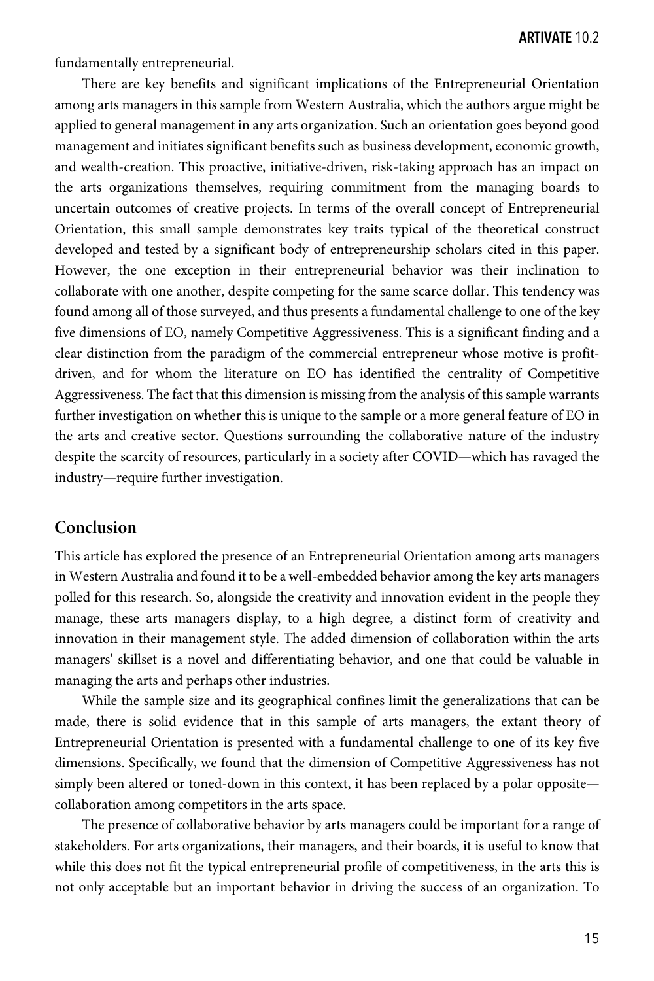fundamentally entrepreneurial.

There are key benefits and significant implications of the Entrepreneurial Orientation among arts managers in this sample from Western Australia, which the authors argue might be applied to general management in any arts organization. Such an orientation goes beyond good management and initiates significant benefits such as business development, economic growth, and wealth-creation. This proactive, initiative-driven, risk-taking approach has an impact on the arts organizations themselves, requiring commitment from the managing boards to uncertain outcomes of creative projects. In terms of the overall concept of Entrepreneurial Orientation, this small sample demonstrates key traits typical of the theoretical construct developed and tested by a significant body of entrepreneurship scholars cited in this paper. However, the one exception in their entrepreneurial behavior was their inclination to collaborate with one another, despite competing for the same scarce dollar. This tendency was found among all of those surveyed, and thus presents a fundamental challenge to one of the key five dimensions of EO, namely Competitive Aggressiveness. This is a significant finding and a clear distinction from the paradigm of the commercial entrepreneur whose motive is profitdriven, and for whom the literature on EO has identified the centrality of Competitive Aggressiveness. The fact that this dimension is missing from the analysis of this sample warrants further investigation on whether this is unique to the sample or a more general feature of EO in the arts and creative sector. Questions surrounding the collaborative nature of the industry despite the scarcity of resources, particularly in a society after COVID—which has ravaged the industry—require further investigation.

# **Conclusion**

This article has explored the presence of an Entrepreneurial Orientation among arts managers in Western Australia and found it to be a well-embedded behavior among the key arts managers polled for this research. So, alongside the creativity and innovation evident in the people they manage, these arts managers display, to a high degree, a distinct form of creativity and innovation in their management style. The added dimension of collaboration within the arts managers' skillset is a novel and differentiating behavior, and one that could be valuable in managing the arts and perhaps other industries.

While the sample size and its geographical confines limit the generalizations that can be made, there is solid evidence that in this sample of arts managers, the extant theory of Entrepreneurial Orientation is presented with a fundamental challenge to one of its key five dimensions. Specifically, we found that the dimension of Competitive Aggressiveness has not simply been altered or toned-down in this context, it has been replaced by a polar opposite collaboration among competitors in the arts space.

The presence of collaborative behavior by arts managers could be important for a range of stakeholders. For arts organizations, their managers, and their boards, it is useful to know that while this does not fit the typical entrepreneurial profile of competitiveness, in the arts this is not only acceptable but an important behavior in driving the success of an organization. To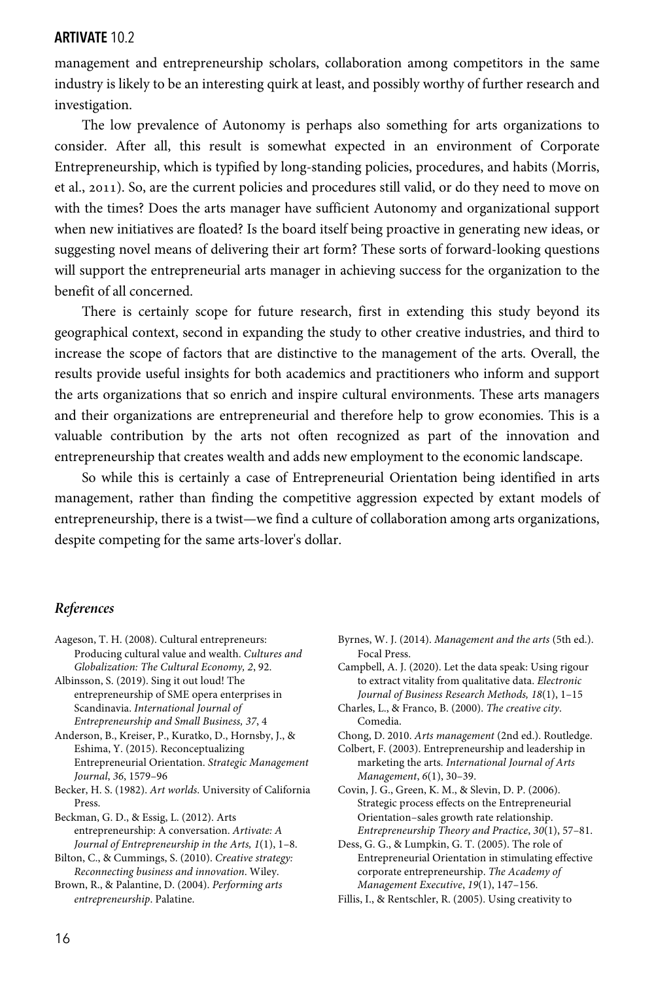management and entrepreneurship scholars, collaboration among competitors in the same industry is likely to be an interesting quirk at least, and possibly worthy of further research and investigation.

The low prevalence of Autonomy is perhaps also something for arts organizations to consider. After all, this result is somewhat expected in an environment of Corporate Entrepreneurship, which is typified by long-standing policies, procedures, and habits (Morris, et al., 2011). So, are the current policies and procedures still valid, or do they need to move on with the times? Does the arts manager have sufficient Autonomy and organizational support when new initiatives are floated? Is the board itself being proactive in generating new ideas, or suggesting novel means of delivering their art form? These sorts of forward-looking questions will support the entrepreneurial arts manager in achieving success for the organization to the benefit of all concerned.

There is certainly scope for future research, first in extending this study beyond its geographical context, second in expanding the study to other creative industries, and third to increase the scope of factors that are distinctive to the management of the arts. Overall, the results provide useful insights for both academics and practitioners who inform and support the arts organizations that so enrich and inspire cultural environments. These arts managers and their organizations are entrepreneurial and therefore help to grow economies. This is a valuable contribution by the arts not often recognized as part of the innovation and entrepreneurship that creates wealth and adds new employment to the economic landscape.

So while this is certainly a case of Entrepreneurial Orientation being identified in arts management, rather than finding the competitive aggression expected by extant models of entrepreneurship, there is a twist—we find a culture of collaboration among arts organizations, despite competing for the same arts-lover's dollar.

#### *References*

- Aageson, T. H. (2008). Cultural entrepreneurs: Producing cultural value and wealth. *Cultures and Globalization: The Cultural Economy, 2*, 92.
- Albinsson, S. (2019). Sing it out loud! The entrepreneurship of SME opera enterprises in Scandinavia. *International Journal of Entrepreneurship and Small Business, 37*, 4
- Anderson, B., Kreiser, P., Kuratko, D., Hornsby, J., & Eshima, Y. (2015). Reconceptualizing Entrepreneurial Orientation. *Strategic Management Journal*, *36*, 1579–96
- Becker, H. S. (1982). *Art worlds*. University of California Press.
- Beckman, G. D., & Essig, L. (2012). Arts entrepreneurship: A conversation. *Artivate: A Journal of Entrepreneurship in the Arts, 1*(1), 1–8.
- Bilton, C., & Cummings, S. (2010). *Creative strategy: Reconnecting business and innovation*. Wiley.
- Brown, R., & Palantine, D. (2004). *Performing arts entrepreneurship*. Palatine.
- Byrnes, W. J. (2014). *Management and the arts* (5th ed.). Focal Press.
- Campbell, A. J. (2020). Let the data speak: Using rigour to extract vitality from qualitative data. *Electronic Journal of Business Research Methods, 18*(1), 1–15
- Charles, L., & Franco, B. (2000). *The creative city*. Comedia.
- Chong, D. 2010. *Arts management* (2nd ed.). Routledge.
- Colbert, F. (2003). Entrepreneurship and leadership in marketing the arts*. International Journal of Arts Management*, *6*(1), 30–39.
- Covin, J. G., Green, K. M., & Slevin, D. P. (2006). Strategic process effects on the Entrepreneurial Orientation–sales growth rate relationship. *Entrepreneurship Theory and Practice*, *30*(1), 57–81.
- Dess, G. G., & Lumpkin, G. T. (2005). The role of Entrepreneurial Orientation in stimulating effective corporate entrepreneurship. *The Academy of Management Executive*, *19*(1), 147–156.
- Fillis, I., & Rentschler, R. (2005). Using creativity to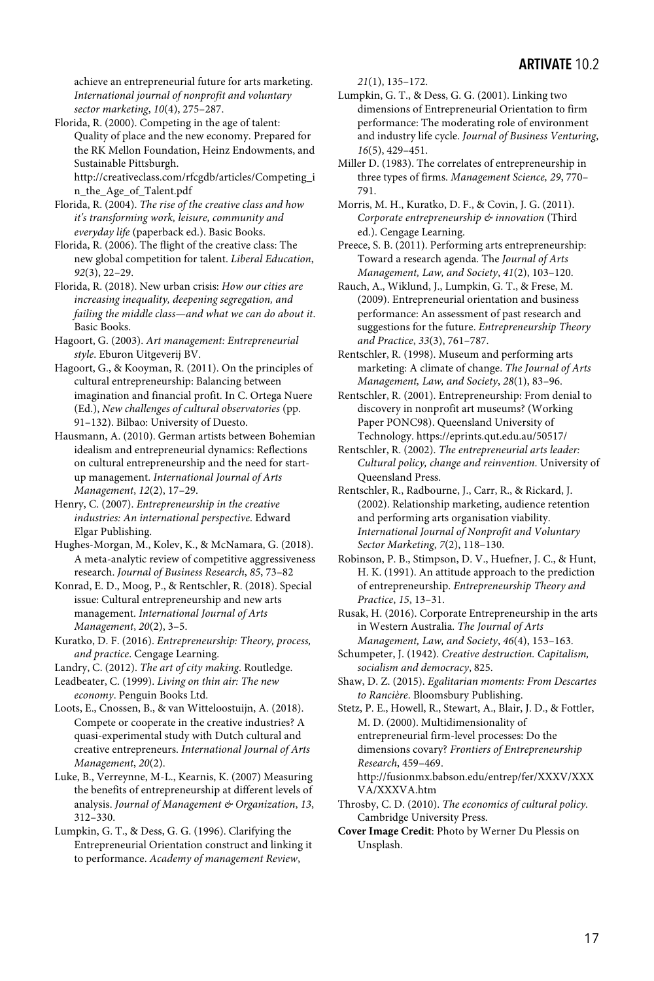achieve an entrepreneurial future for arts marketing. *International journal of nonprofit and voluntary sector marketing*, *10*(4), 275–287.

Florida, R. (2000). Competing in the age of talent: Quality of place and the new economy. Prepared for the RK Mellon Foundation, Heinz Endowments, and Sustainable Pittsburgh.

http://creativeclass.com/rfcgdb/articles/Competing\_i n\_the\_Age\_of\_Talent.pdf

Florida, R. (2004). *The rise of the creative class and how it's transforming work, leisure, community and everyday life* (paperback ed.). Basic Books.

Florida, R. (2006). The flight of the creative class: The new global competition for talent. *Liberal Education*, *92*(3), 22–29.

Florida, R. (2018). New urban crisis: *How our cities are increasing inequality, deepening segregation, and failing the middle class—and what we can do about it*. Basic Books.

Hagoort, G. (2003). *Art management: Entrepreneurial style*. Eburon Uitgeverij BV.

Hagoort, G., & Kooyman, R. (2011). On the principles of cultural entrepreneurship: Balancing between imagination and financial profit. In C. Ortega Nuere (Ed.), *New challenges of cultural observatories* (pp. 91–132). Bilbao: University of Duesto.

Hausmann, A. (2010). German artists between Bohemian idealism and entrepreneurial dynamics: Reflections on cultural entrepreneurship and the need for startup management. *International Journal of Arts Management*, *12*(2), 17–29.

Henry, C. (2007). *Entrepreneurship in the creative industries: An international perspective*. Edward Elgar Publishing.

Hughes-Morgan, M., Kolev, K., & McNamara, G. (2018). A meta-analytic review of competitive aggressiveness research. *Journal of Business Research*, *85*, 73–82

Konrad, E. D., Moog, P., & Rentschler, R. (2018). Special issue: Cultural entrepreneurship and new arts management. *International Journal of Arts Management*, *20*(2), 3–5.

Kuratko, D. F. (2016). *Entrepreneurship: Theory, process, and practice*. Cengage Learning.

Landry, C. (2012). *The art of city making*. Routledge.

Leadbeater, C. (1999). *Living on thin air: The new economy*. Penguin Books Ltd.

Loots, E., Cnossen, B., & van Witteloostuijn, A. (2018). Compete or cooperate in the creative industries? A quasi-experimental study with Dutch cultural and creative entrepreneurs. *International Journal of Arts Management*, *20*(2).

Luke, B., Verreynne, M-L., Kearnis, K. (2007) Measuring the benefits of entrepreneurship at different levels of analysis. *Journal of Management & Organization*, *13*, 312–330.

Lumpkin, G. T., & Dess, G. G. (1996). Clarifying the Entrepreneurial Orientation construct and linking it to performance. *Academy of management Review*,

*21*(1), 135–172.

Lumpkin, G. T., & Dess, G. G. (2001). Linking two dimensions of Entrepreneurial Orientation to firm performance: The moderating role of environment and industry life cycle. *Journal of Business Venturing*, *16*(5), 429–451.

Miller D. (1983). The correlates of entrepreneurship in three types of firms. *Management Science, 29*, 770– 791.

Morris, M. H., Kuratko, D. F., & Covin, J. G. (2011). *Corporate entrepreneurship & innovation* (Third ed.). Cengage Learning.

Preece, S. B. (2011). Performing arts entrepreneurship: Toward a research agenda. The *Journal of Arts Management, Law, and Society*, *41*(2), 103–120.

Rauch, A., Wiklund, J., Lumpkin, G. T., & Frese, M. (2009). Entrepreneurial orientation and business performance: An assessment of past research and suggestions for the future. *Entrepreneurship Theory and Practice*, *33*(3), 761–787.

Rentschler, R. (1998). Museum and performing arts marketing: A climate of change. *The Journal of Arts Management, Law, and Society*, *28*(1), 83–96.

Rentschler, R. (2001). Entrepreneurship: From denial to discovery in nonprofit art museums? (Working Paper PONC98). Queensland University of Technology. https://eprints.qut.edu.au/50517/

Rentschler, R. (2002). *The entrepreneurial arts leader: Cultural policy, change and reinvention*. University of Queensland Press.

Rentschler, R., Radbourne, J., Carr, R., & Rickard, J. (2002). Relationship marketing, audience retention and performing arts organisation viability. *International Journal of Nonprofit and Voluntary Sector Marketing*, *7*(2), 118–130.

Robinson, P. B., Stimpson, D. V., Huefner, J. C., & Hunt, H. K. (1991). An attitude approach to the prediction of entrepreneurship. *Entrepreneurship Theory and Practice*, *15*, 13–31.

Rusak, H. (2016). Corporate Entrepreneurship in the arts in Western Australia. *The Journal of Arts Management, Law, and Society*, *46*(4), 153–163.

Schumpeter, J. (1942). *Creative destruction. Capitalism, socialism and democracy*, 825.

Shaw, D. Z. (2015). *Egalitarian moments: From Descartes to Rancière*. Bloomsbury Publishing.

Stetz, P. E., Howell, R., Stewart, A., Blair, J. D., & Fottler, M. D. (2000). Multidimensionality of entrepreneurial firm-level processes: Do the dimensions covary? *Frontiers of Entrepreneurship Research*, 459–469. http://fusionmx.babson.edu/entrep/fer/XXXV/XXX VA/XXXVA.htm

Throsby, C. D. (2010). *The economics of cultural policy.* Cambridge University Press.

**Cover Image Credit**: Photo by Werner Du Plessis on Unsplash.